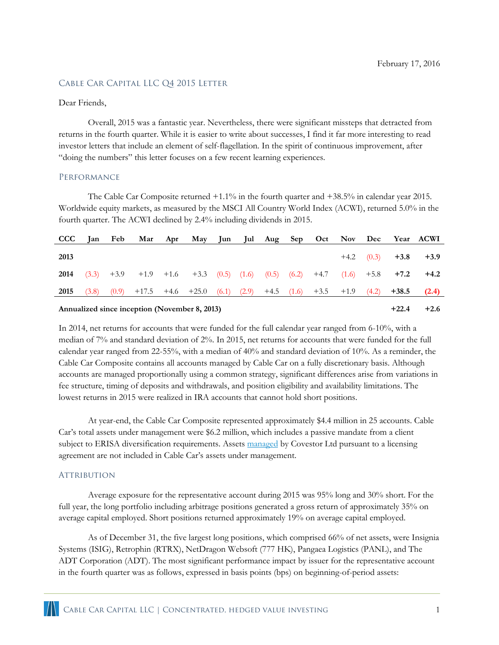# CABLE CAR CAPITAL LLC Q4 2015 LETTER

## Dear Friends,

Overall, 2015 was a fantastic year. Nevertheless, there were significant missteps that detracted from returns in the fourth quarter. While it is easier to write about successes, I find it far more interesting to read investor letters that include an element of self-flagellation. In the spirit of continuous improvement, after "doing the numbers" this letter focuses on a few recent learning experiences.

#### Performance

The Cable Car Composite returned +1.1% in the fourth quarter and +38.5% in calendar year 2015. Worldwide equity markets, as measured by the MSCI All Country World Index (ACWI), returned 5.0% in the fourth quarter. The ACWI declined by 2.4% including dividends in 2015.

| <b>CCC</b> | Ian Feb |  |                                                                                                  |  | Mar Apr May Jun Jul Aug Sep Oct Nov Dec Year ACWI |  |  |  |  |       |            |                     |        |
|------------|---------|--|--------------------------------------------------------------------------------------------------|--|---------------------------------------------------|--|--|--|--|-------|------------|---------------------|--------|
| 2013       |         |  |                                                                                                  |  |                                                   |  |  |  |  |       |            | $+4.2$ (0.3) $+3.8$ | $+3.9$ |
| 2014       |         |  | $(3.3)$ $+3.9$ $+1.9$ $+1.6$ $+3.3$ $(0.5)$ $(1.6)$ $(0.5)$ $(6.2)$ $+4.7$ $(1.6)$ $+5.8$ $+7.2$ |  |                                                   |  |  |  |  |       |            |                     | $+4.2$ |
| 2015       | (3.8)   |  | $(0.9)$ +17.5 +4.6 +25.0 $(6.1)$ $(2.9)$ +4.5 $(1.6)$ +3.5 +1.9                                  |  |                                                   |  |  |  |  |       | (4.2)      | $+38.5$             | (2.4)  |
|            |         |  |                                                                                                  |  |                                                   |  |  |  |  | 1.22A | $\sqrt{2}$ |                     |        |

#### **Annualized since inception (November 8, 2013) +22.4 +2.6**

In 2014, net returns for accounts that were funded for the full calendar year ranged from 6-10%, with a median of 7% and standard deviation of 2%. In 2015, net returns for accounts that were funded for the full calendar year ranged from 22-55%, with a median of 40% and standard deviation of 10%. As a reminder, the Cable Car Composite contains all accounts managed by Cable Car on a fully discretionary basis. Although accounts are managed proportionally using a common strategy, significant differences arise from variations in fee structure, timing of deposits and withdrawals, and position eligibility and availability limitations. The lowest returns in 2015 were realized in IRA accounts that cannot hold short positions.

At year-end, the Cable Car Composite represented approximately \$4.4 million in 25 accounts. Cable Car's total assets under management were \$6.2 million, which includes a passive mandate from a client subject to ERISA diversification requirements. Assets [managed](http://covestor.com/cable-car-capital/hedged-value) by Covestor Ltd pursuant to a licensing agreement are not included in Cable Car's assets under management.

## **ATTRIBUTION**

Average exposure for the representative account during 2015 was 95% long and 30% short. For the full year, the long portfolio including arbitrage positions generated a gross return of approximately 35% on average capital employed. Short positions returned approximately 19% on average capital employed.

As of December 31, the five largest long positions, which comprised 66% of net assets, were Insignia Systems (ISIG), Retrophin (RTRX), NetDragon Websoft (777 HK), Pangaea Logistics (PANL), and The ADT Corporation (ADT). The most significant performance impact by issuer for the representative account in the fourth quarter was as follows, expressed in basis points (bps) on beginning-of-period assets: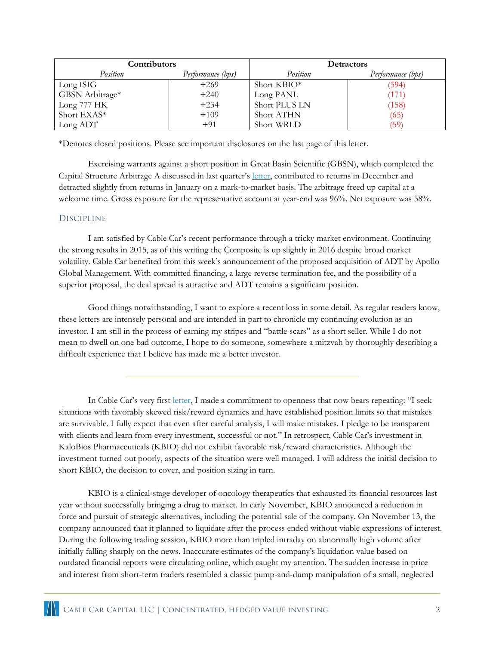| Contributors    |                   | <b>Detractors</b> |                   |  |  |
|-----------------|-------------------|-------------------|-------------------|--|--|
| Position        | Performance (bps) | Position          | Performance (bps) |  |  |
| Long ISIG       | $+269$            | Short KBIO*       | (594)             |  |  |
| GBSN Arbitrage* | $+240$            | Long PANL         | (171)             |  |  |
| Long 777 HK     | $+234$            | Short PLUS LN     | (158)             |  |  |
| Short EXAS*     | $+109$            | <b>Short ATHN</b> | (65)              |  |  |
| Long ADT        | $+91$             | Short WRLD        | (59)              |  |  |

\*Denotes closed positions. Please see important disclosures on the last page of this letter.

Exercising warrants against a short position in Great Basin Scientific (GBSN), which completed the Capital Structure Arbitrage A discussed in last quarter's [letter,](http://www.cablecarcapital.com/Cable_Car_Q3_2015.pdf) contributed to returns in December and detracted slightly from returns in January on a mark-to-market basis. The arbitrage freed up capital at a welcome time. Gross exposure for the representative account at year-end was 96%. Net exposure was 58%.

# **DISCIPLINE**

I am satisfied by Cable Car's recent performance through a tricky market environment. Continuing the strong results in 2015, as of this writing the Composite is up slightly in 2016 despite broad market volatility. Cable Car benefited from this week's announcement of the proposed acquisition of ADT by Apollo Global Management. With committed financing, a large reverse termination fee, and the possibility of a superior proposal, the deal spread is attractive and ADT remains a significant position.

Good things notwithstanding, I want to explore a recent loss in some detail. As regular readers know, these letters are intensely personal and are intended in part to chronicle my continuing evolution as an investor. I am still in the process of earning my stripes and "battle scars" as a short seller. While I do not mean to dwell on one bad outcome, I hope to do someone, somewhere a mitzvah by thoroughly describing a difficult experience that I believe has made me a better investor.

In Cable Car's very first [letter](http://www.cablecarcapital.com/Cable_Car_Q1_2014.pdf), I made a commitment to openness that now bears repeating: "I seek situations with favorably skewed risk/reward dynamics and have established position limits so that mistakes are survivable. I fully expect that even after careful analysis, I will make mistakes. I pledge to be transparent with clients and learn from every investment, successful or not." In retrospect, Cable Car's investment in KaloBios Pharmaceuticals (KBIO) did not exhibit favorable risk/reward characteristics. Although the investment turned out poorly, aspects of the situation were well managed. I will address the initial decision to short KBIO, the decision to cover, and position sizing in turn.

KBIO is a clinical-stage developer of oncology therapeutics that exhausted its financial resources last year without successfully bringing a drug to market. In early November, KBIO announced a reduction in force and pursuit of strategic alternatives, including the potential sale of the company. On November 13, the company announced that it planned to liquidate after the process ended without viable expressions of interest. During the following trading session, KBIO more than tripled intraday on abnormally high volume after initially falling sharply on the news. Inaccurate estimates of the company's liquidation value based on outdated financial reports were circulating online, which caught my attention. The sudden increase in price and interest from short-term traders resembled a classic pump-and-dump manipulation of a small, neglected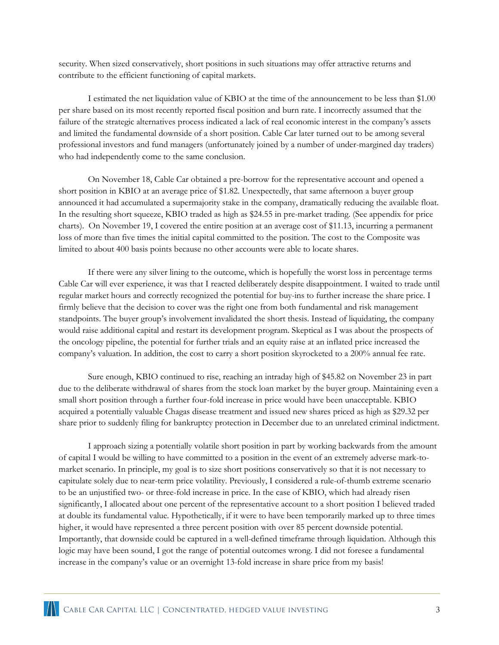security. When sized conservatively, short positions in such situations may offer attractive returns and contribute to the efficient functioning of capital markets.

I estimated the net liquidation value of KBIO at the time of the announcement to be less than \$1.00 per share based on its most recently reported fiscal position and burn rate. I incorrectly assumed that the failure of the strategic alternatives process indicated a lack of real economic interest in the company's assets and limited the fundamental downside of a short position. Cable Car later turned out to be among several professional investors and fund managers (unfortunately joined by a number of under-margined day traders) who had independently come to the same conclusion.

On November 18, Cable Car obtained a pre-borrow for the representative account and opened a short position in KBIO at an average price of \$1.82. Unexpectedly, that same afternoon a buyer group announced it had accumulated a supermajority stake in the company, dramatically reducing the available float. In the resulting short squeeze, KBIO traded as high as \$24.55 in pre-market trading. (See appendix for price charts). On November 19, I covered the entire position at an average cost of \$11.13, incurring a permanent loss of more than five times the initial capital committed to the position. The cost to the Composite was limited to about 400 basis points because no other accounts were able to locate shares.

If there were any silver lining to the outcome, which is hopefully the worst loss in percentage terms Cable Car will ever experience, it was that I reacted deliberately despite disappointment. I waited to trade until regular market hours and correctly recognized the potential for buy-ins to further increase the share price. I firmly believe that the decision to cover was the right one from both fundamental and risk management standpoints. The buyer group's involvement invalidated the short thesis. Instead of liquidating, the company would raise additional capital and restart its development program. Skeptical as I was about the prospects of the oncology pipeline, the potential for further trials and an equity raise at an inflated price increased the company's valuation. In addition, the cost to carry a short position skyrocketed to a 200% annual fee rate.

Sure enough, KBIO continued to rise, reaching an intraday high of \$45.82 on November 23 in part due to the deliberate withdrawal of shares from the stock loan market by the buyer group. Maintaining even a small short position through a further four-fold increase in price would have been unacceptable. KBIO acquired a potentially valuable Chagas disease treatment and issued new shares priced as high as \$29.32 per share prior to suddenly filing for bankruptcy protection in December due to an unrelated criminal indictment.

I approach sizing a potentially volatile short position in part by working backwards from the amount of capital I would be willing to have committed to a position in the event of an extremely adverse mark-tomarket scenario. In principle, my goal is to size short positions conservatively so that it is not necessary to capitulate solely due to near-term price volatility. Previously, I considered a rule-of-thumb extreme scenario to be an unjustified two- or three-fold increase in price. In the case of KBIO, which had already risen significantly, I allocated about one percent of the representative account to a short position I believed traded at double its fundamental value. Hypothetically, if it were to have been temporarily marked up to three times higher, it would have represented a three percent position with over 85 percent downside potential. Importantly, that downside could be captured in a well-defined timeframe through liquidation. Although this logic may have been sound, I got the range of potential outcomes wrong. I did not foresee a fundamental increase in the company's value or an overnight 13-fold increase in share price from my basis!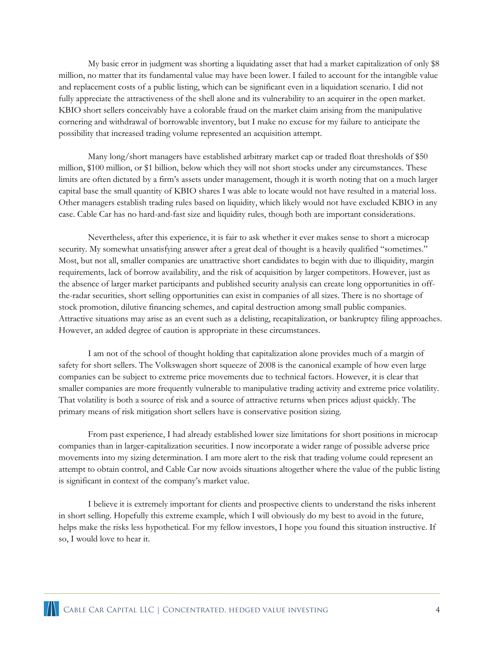My basic error in judgment was shorting a liquidating asset that had a market capitalization of only \$8 million, no matter that its fundamental value may have been lower. I failed to account for the intangible value and replacement costs of a public listing, which can be significant even in a liquidation scenario. I did not fully appreciate the attractiveness of the shell alone and its vulnerability to an acquirer in the open market. KBIO short sellers conceivably have a colorable fraud on the market claim arising from the manipulative cornering and withdrawal of borrowable inventory, but I make no excuse for my failure to anticipate the possibility that increased trading volume represented an acquisition attempt.

Many long/short managers have established arbitrary market cap or traded float thresholds of \$50 million, \$100 million, or \$1 billion, below which they will not short stocks under any circumstances. These limits are often dictated by a firm's assets under management, though it is worth noting that on a much larger capital base the small quantity of KBIO shares I was able to locate would not have resulted in a material loss. Other managers establish trading rules based on liquidity, which likely would not have excluded KBIO in any case. Cable Car has no hard-and-fast size and liquidity rules, though both are important considerations.

Nevertheless, after this experience, it is fair to ask whether it ever makes sense to short a microcap security. My somewhat unsatisfying answer after a great deal of thought is a heavily qualified "sometimes." Most, but not all, smaller companies are unattractive short candidates to begin with due to illiquidity, margin requirements, lack of borrow availability, and the risk of acquisition by larger competitors. However, just as the absence of larger market participants and published security analysis can create long opportunities in offthe-radar securities, short selling opportunities can exist in companies of all sizes. There is no shortage of stock promotion, dilutive financing schemes, and capital destruction among small public companies. Attractive situations may arise as an event such as a delisting, recapitalization, or bankruptcy filing approaches. However, an added degree of caution is appropriate in these circumstances.

I am not of the school of thought holding that capitalization alone provides much of a margin of safety for short sellers. The Volkswagen short squeeze of 2008 is the canonical example of how even large companies can be subject to extreme price movements due to technical factors. However, it is clear that smaller companies are more frequently vulnerable to manipulative trading activity and extreme price volatility. That volatility is both a source of risk and a source of attractive returns when prices adjust quickly. The primary means of risk mitigation short sellers have is conservative position sizing.

From past experience, I had already established lower size limitations for short positions in microcap companies than in larger-capitalization securities. I now incorporate a wider range of possible adverse price movements into my sizing determination. I am more alert to the risk that trading volume could represent an attempt to obtain control, and Cable Car now avoids situations altogether where the value of the public listing is significant in context of the company's market value.

I believe it is extremely important for clients and prospective clients to understand the risks inherent in short selling. Hopefully this extreme example, which I will obviously do my best to avoid in the future, helps make the risks less hypothetical. For my fellow investors, I hope you found this situation instructive. If so, I would love to hear it.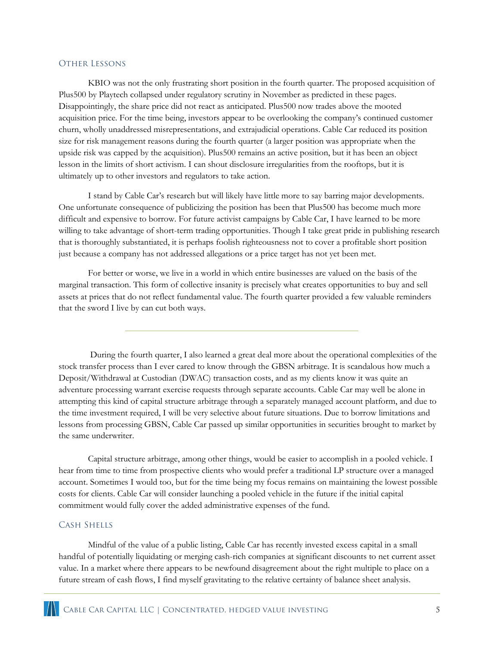#### Other Lessons

KBIO was not the only frustrating short position in the fourth quarter. The proposed acquisition of Plus500 by Playtech collapsed under regulatory scrutiny in November as predicted in these pages. Disappointingly, the share price did not react as anticipated. Plus500 now trades above the mooted acquisition price. For the time being, investors appear to be overlooking the company's continued customer churn, wholly unaddressed misrepresentations, and extrajudicial operations. Cable Car reduced its position size for risk management reasons during the fourth quarter (a larger position was appropriate when the upside risk was capped by the acquisition). Plus500 remains an active position, but it has been an object lesson in the limits of short activism. I can shout disclosure irregularities from the rooftops, but it is ultimately up to other investors and regulators to take action.

I stand by Cable Car's research but will likely have little more to say barring major developments. One unfortunate consequence of publicizing the position has been that Plus500 has become much more difficult and expensive to borrow. For future activist campaigns by Cable Car, I have learned to be more willing to take advantage of short-term trading opportunities. Though I take great pride in publishing research that is thoroughly substantiated, it is perhaps foolish righteousness not to cover a profitable short position just because a company has not addressed allegations or a price target has not yet been met.

For better or worse, we live in a world in which entire businesses are valued on the basis of the marginal transaction. This form of collective insanity is precisely what creates opportunities to buy and sell assets at prices that do not reflect fundamental value. The fourth quarter provided a few valuable reminders that the sword I live by can cut both ways.

During the fourth quarter, I also learned a great deal more about the operational complexities of the stock transfer process than I ever cared to know through the GBSN arbitrage. It is scandalous how much a Deposit/Withdrawal at Custodian (DWAC) transaction costs, and as my clients know it was quite an adventure processing warrant exercise requests through separate accounts. Cable Car may well be alone in attempting this kind of capital structure arbitrage through a separately managed account platform, and due to the time investment required, I will be very selective about future situations. Due to borrow limitations and lessons from processing GBSN, Cable Car passed up similar opportunities in securities brought to market by the same underwriter.

Capital structure arbitrage, among other things, would be easier to accomplish in a pooled vehicle. I hear from time to time from prospective clients who would prefer a traditional LP structure over a managed account. Sometimes I would too, but for the time being my focus remains on maintaining the lowest possible costs for clients. Cable Car will consider launching a pooled vehicle in the future if the initial capital commitment would fully cover the added administrative expenses of the fund.

## Cash Shells

Mindful of the value of a public listing, Cable Car has recently invested excess capital in a small handful of potentially liquidating or merging cash-rich companies at significant discounts to net current asset value. In a market where there appears to be newfound disagreement about the right multiple to place on a future stream of cash flows, I find myself gravitating to the relative certainty of balance sheet analysis.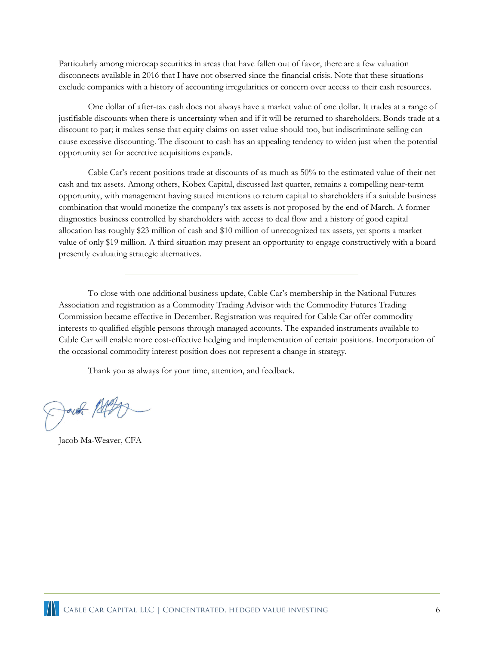Particularly among microcap securities in areas that have fallen out of favor, there are a few valuation disconnects available in 2016 that I have not observed since the financial crisis. Note that these situations exclude companies with a history of accounting irregularities or concern over access to their cash resources.

One dollar of after-tax cash does not always have a market value of one dollar. It trades at a range of justifiable discounts when there is uncertainty when and if it will be returned to shareholders. Bonds trade at a discount to par; it makes sense that equity claims on asset value should too, but indiscriminate selling can cause excessive discounting. The discount to cash has an appealing tendency to widen just when the potential opportunity set for accretive acquisitions expands.

Cable Car's recent positions trade at discounts of as much as 50% to the estimated value of their net cash and tax assets. Among others, Kobex Capital, discussed last quarter, remains a compelling near-term opportunity, with management having stated intentions to return capital to shareholders if a suitable business combination that would monetize the company's tax assets is not proposed by the end of March. A former diagnostics business controlled by shareholders with access to deal flow and a history of good capital allocation has roughly \$23 million of cash and \$10 million of unrecognized tax assets, yet sports a market value of only \$19 million. A third situation may present an opportunity to engage constructively with a board presently evaluating strategic alternatives.

To close with one additional business update, Cable Car's membership in the National Futures Association and registration as a Commodity Trading Advisor with the Commodity Futures Trading Commission became effective in December. Registration was required for Cable Car offer commodity interests to qualified eligible persons through managed accounts. The expanded instruments available to Cable Car will enable more cost-effective hedging and implementation of certain positions. Incorporation of the occasional commodity interest position does not represent a change in strategy.

Thank you as always for your time, attention, and feedback.

Donal Patt

Jacob Ma-Weaver, CFA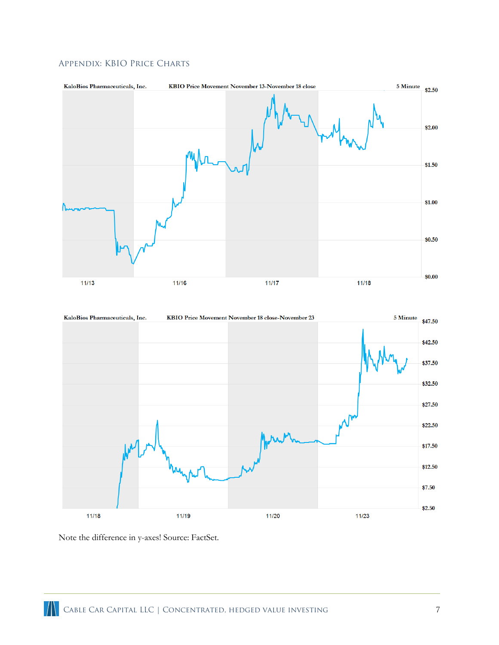

# Appendix: KBIO Price Charts



Note the difference in y-axes! Source: FactSet.